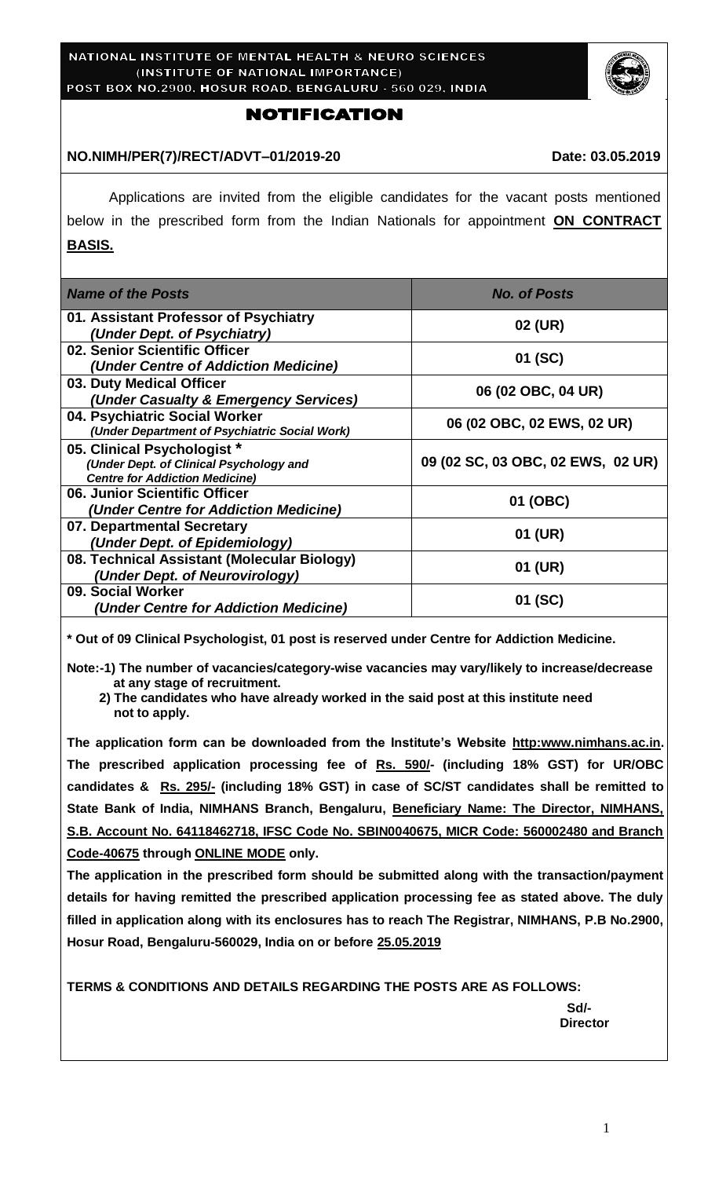

### **NOTIFICATION**

#### NO.NIMH/PER(7)/RECT/ADVT-01/2019-20 Date: 03.05.2019

Applications are invited from the eligible candidates for the vacant posts mentioned below in the prescribed form from the Indian Nationals for appointment **ON CONTRACT BASIS.**

| <b>Name of the Posts</b>                                                                                        | <b>No. of Posts</b>               |
|-----------------------------------------------------------------------------------------------------------------|-----------------------------------|
| 01. Assistant Professor of Psychiatry<br>(Under Dept. of Psychiatry)                                            | 02 (UR)                           |
| 02. Senior Scientific Officer<br>(Under Centre of Addiction Medicine)                                           | 01 (SC)                           |
| 03. Duty Medical Officer<br>(Under Casualty & Emergency Services)                                               | 06 (02 OBC, 04 UR)                |
| 04. Psychiatric Social Worker<br>(Under Department of Psychiatric Social Work)                                  | 06 (02 OBC, 02 EWS, 02 UR)        |
| 05. Clinical Psychologist *<br>(Under Dept. of Clinical Psychology and<br><b>Centre for Addiction Medicine)</b> | 09 (02 SC, 03 OBC, 02 EWS, 02 UR) |
| 06. Junior Scientific Officer<br>(Under Centre for Addiction Medicine)                                          | 01 (OBC)                          |
| 07. Departmental Secretary<br>(Under Dept. of Epidemiology)                                                     | 01 (UR)                           |
| 08. Technical Assistant (Molecular Biology)<br>(Under Dept. of Neurovirology)                                   | 01 (UR)                           |
| 09. Social Worker<br>(Under Centre for Addiction Medicine)                                                      | 01 (SC)                           |

**\* Out of 09 Clinical Psychologist, 01 post is reserved under Centre for Addiction Medicine.**

**Note:-1) The number of vacancies/category-wise vacancies may vary/likely to increase/decrease at any stage of recruitment.**

 **2) The candidates who have already worked in the said post at this institute need not to apply.**

**The application form can be downloaded from the Institute's Website http:www.nimhans.ac.in. The prescribed application processing fee of Rs. 590/- (including 18% GST) for UR/OBC candidates & Rs. 295/- (including 18% GST) in case of SC/ST candidates shall be remitted to State Bank of India, NIMHANS Branch, Bengaluru, Beneficiary Name: The Director, NIMHANS, S.B. Account No. 64118462718, IFSC Code No. SBIN0040675, MICR Code: 560002480 and Branch Code-40675 through ONLINE MODE only.**

**The application in the prescribed form should be submitted along with the transaction/payment details for having remitted the prescribed application processing fee as stated above. The duly filled in application along with its enclosures has to reach The Registrar, NIMHANS, P.B No.2900, Hosur Road, Bengaluru-560029, India on or before 25.05.2019**

**TERMS & CONDITIONS AND DETAILS REGARDING THE POSTS ARE AS FOLLOWS:**

 **Sd/- Director**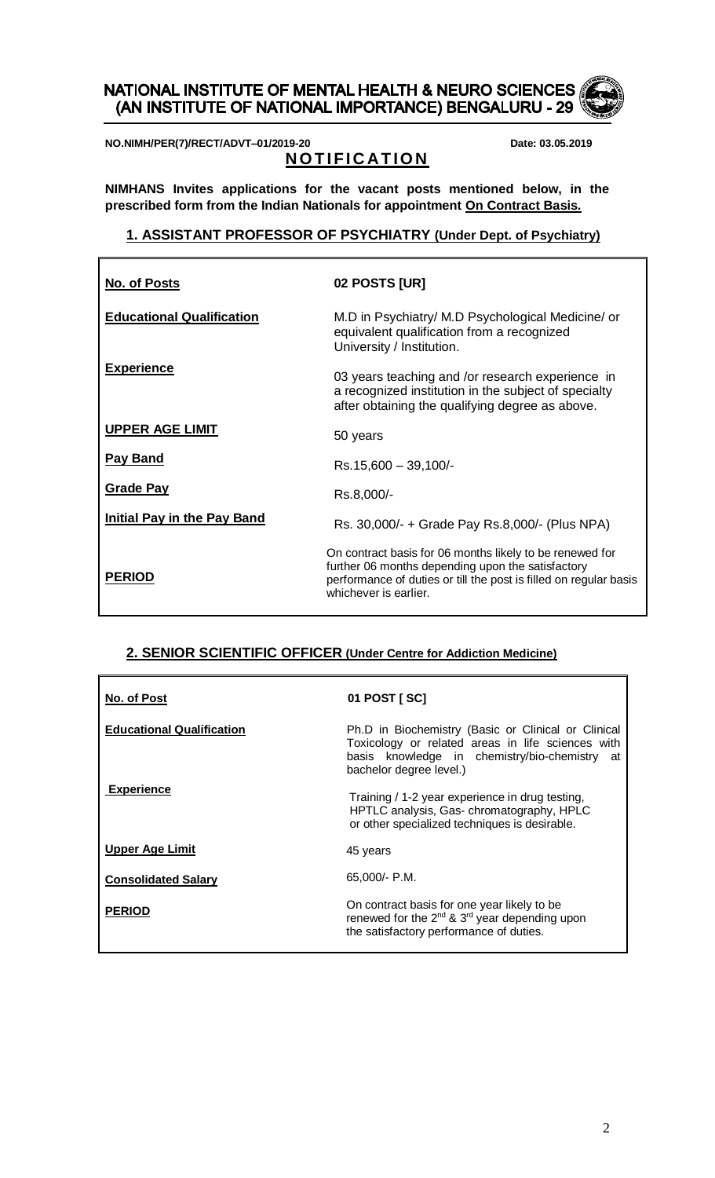# NATIONAL INSTITUTE OF MENTAL HEALTH & NEURO SCIENCES (AN INSTITUTE OF NATIONAL IMPORTANCE) BENGALURU - 29

**NO.NIMH/PER(7)/RECT/ADVT–01/2019-20 Date: 03.05.2019**

# **NOTIFICATION**

**NIMHANS Invites applications for the vacant posts mentioned below, in the prescribed form from the Indian Nationals for appointment On Contract Basis.**

### **1. ASSISTANT PROFESSOR OF PSYCHIATRY (Under Dept. of Psychiatry)**

| <b>No. of Posts</b>                | 02 POSTS [UR]                                                                                                                                                                                               |
|------------------------------------|-------------------------------------------------------------------------------------------------------------------------------------------------------------------------------------------------------------|
| <b>Educational Qualification</b>   | M.D in Psychiatry/ M.D Psychological Medicine/ or<br>equivalent qualification from a recognized<br>University / Institution.                                                                                |
| <b>Experience</b>                  | 03 years teaching and /or research experience in<br>a recognized institution in the subject of specialty<br>after obtaining the qualifying degree as above.                                                 |
| <b>UPPER AGE LIMIT</b>             | 50 years                                                                                                                                                                                                    |
| Pay Band                           | $Rs.15,600 - 39,100/$ -                                                                                                                                                                                     |
| <b>Grade Pay</b>                   | Rs.8,000/-                                                                                                                                                                                                  |
| <b>Initial Pay in the Pay Band</b> | Rs. 30,000/- + Grade Pay Rs.8,000/- (Plus NPA)                                                                                                                                                              |
| <b>PERIOD</b>                      | On contract basis for 06 months likely to be renewed for<br>further 06 months depending upon the satisfactory<br>performance of duties or till the post is filled on regular basis<br>whichever is earlier. |

### **2. SENIOR SCIENTIFIC OFFICER (Under Centre for Addiction Medicine)**

| <u>No. of Post</u>               | 01 POST [ SC]                                                                                                                                                                        |
|----------------------------------|--------------------------------------------------------------------------------------------------------------------------------------------------------------------------------------|
| <b>Educational Qualification</b> | Ph.D in Biochemistry (Basic or Clinical or Clinical<br>Toxicology or related areas in life sciences with<br>basis knowledge in chemistry/bio-chemistry at<br>bachelor degree level.) |
| <b>Experience</b>                | Training / 1-2 year experience in drug testing,<br>HPTLC analysis, Gas-chromatography, HPLC<br>or other specialized techniques is desirable.                                         |
| <b>Upper Age Limit</b>           | 45 years                                                                                                                                                                             |
| <b>Consolidated Salary</b>       | 65,000/- P.M.                                                                                                                                                                        |
| <b>PERIOD</b>                    | On contract basis for one year likely to be<br>renewed for the 2 <sup>nd</sup> & 3 <sup>rd</sup> year depending upon<br>the satisfactory performance of duties.                      |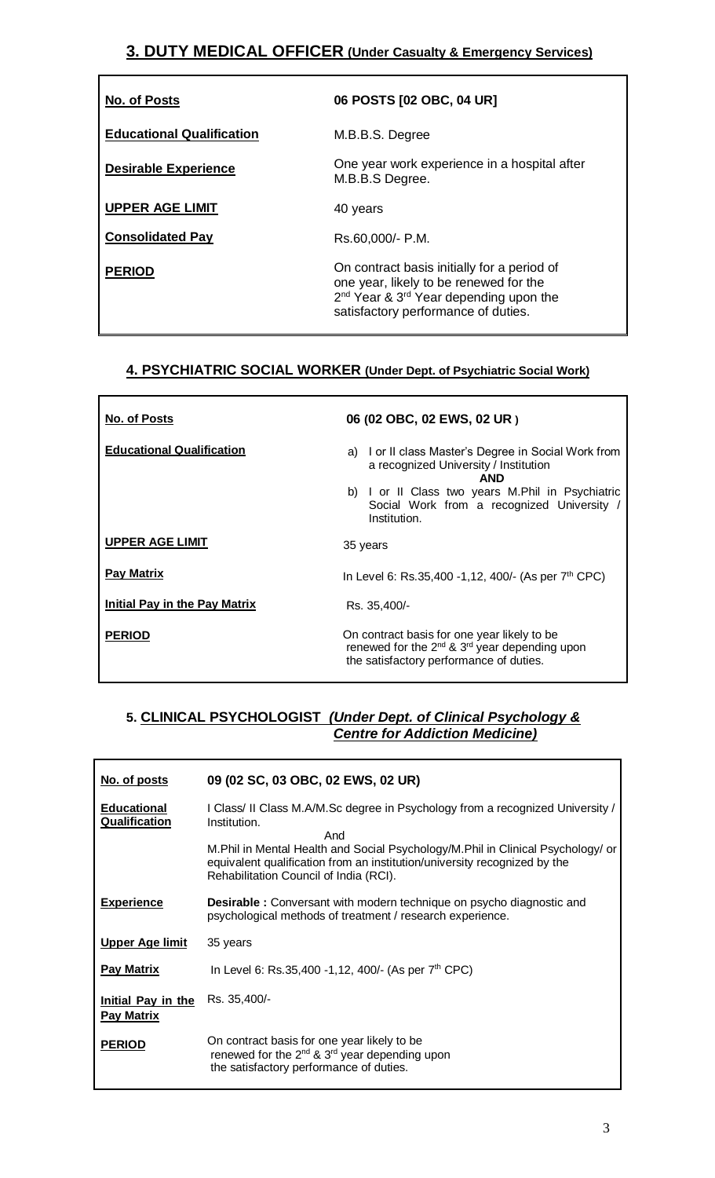# **3. DUTY MEDICAL OFFICER (Under Casualty & Emergency Services)**

| <b>No. of Posts</b>              | 06 POSTS [02 OBC, 04 UR]                                                                                                                                                                       |
|----------------------------------|------------------------------------------------------------------------------------------------------------------------------------------------------------------------------------------------|
| <b>Educational Qualification</b> | M.B.B.S. Degree                                                                                                                                                                                |
| <b>Desirable Experience</b>      | One year work experience in a hospital after<br>M.B.B.S Degree.                                                                                                                                |
| <b>UPPER AGE LIMIT</b>           | 40 years                                                                                                                                                                                       |
| <b>Consolidated Pay</b>          | Rs.60,000/- P.M.                                                                                                                                                                               |
| <b>PERIOD</b>                    | On contract basis initially for a period of<br>one year, likely to be renewed for the<br>2 <sup>nd</sup> Year & 3 <sup>rd</sup> Year depending upon the<br>satisfactory performance of duties. |

## **4. PSYCHIATRIC SOCIAL WORKER (Under Dept. of Psychiatric Social Work)**

| No. of Posts                         | 06 (02 OBC, 02 EWS, 02 UR)                                                                                                                        |
|--------------------------------------|---------------------------------------------------------------------------------------------------------------------------------------------------|
| <b>Educational Qualification</b>     | I or II class Master's Degree in Social Work from<br>a)<br>a recognized University / Institution<br><b>AND</b>                                    |
|                                      | I or II Class two years M.Phil in Psychiatric<br>b)<br>Social Work from a recognized University /<br>Institution.                                 |
| <b>UPPER AGE LIMIT</b>               | 35 years                                                                                                                                          |
| <b>Pay Matrix</b>                    | In Level 6: Rs.35,400 -1,12, 400/- (As per 7 <sup>th</sup> CPC)                                                                                   |
| <b>Initial Pay in the Pay Matrix</b> | Rs. 35,400/-                                                                                                                                      |
| <b>PERIOD</b>                        | On contract basis for one year likely to be<br>renewed for the $2^{nd}$ & $3^{rd}$ year depending upon<br>the satisfactory performance of duties. |

# **5. CLINICAL PSYCHOLOGIST** *(Under Dept. of Clinical Psychology &*  *Centre for Addiction Medicine)*

| No. of posts                               | 09 (02 SC, 03 OBC, 02 EWS, 02 UR)                                                                                                                                                                                                                                                                               |
|--------------------------------------------|-----------------------------------------------------------------------------------------------------------------------------------------------------------------------------------------------------------------------------------------------------------------------------------------------------------------|
| <b>Educational</b><br><b>Qualification</b> | I Class/ II Class M.A/M.Sc degree in Psychology from a recognized University /<br>Institution.<br>And<br>M.Phil in Mental Health and Social Psychology/M.Phil in Clinical Psychology/ or<br>equivalent qualification from an institution/university recognized by the<br>Rehabilitation Council of India (RCI). |
| <b>Experience</b>                          | <b>Desirable:</b> Conversant with modern technique on psycho diagnostic and<br>psychological methods of treatment / research experience.                                                                                                                                                                        |
| <b>Upper Age limit</b>                     | 35 years                                                                                                                                                                                                                                                                                                        |
| <b>Pay Matrix</b>                          | In Level 6: Rs.35,400 -1,12, 400/- (As per $7th$ CPC)                                                                                                                                                                                                                                                           |
| Initial Pay in the<br><b>Pay Matrix</b>    | Rs. 35,400/-                                                                                                                                                                                                                                                                                                    |
| <b>PERIOD</b>                              | On contract basis for one year likely to be<br>renewed for the $2^{nd}$ & $3^{rd}$ year depending upon<br>the satisfactory performance of duties.                                                                                                                                                               |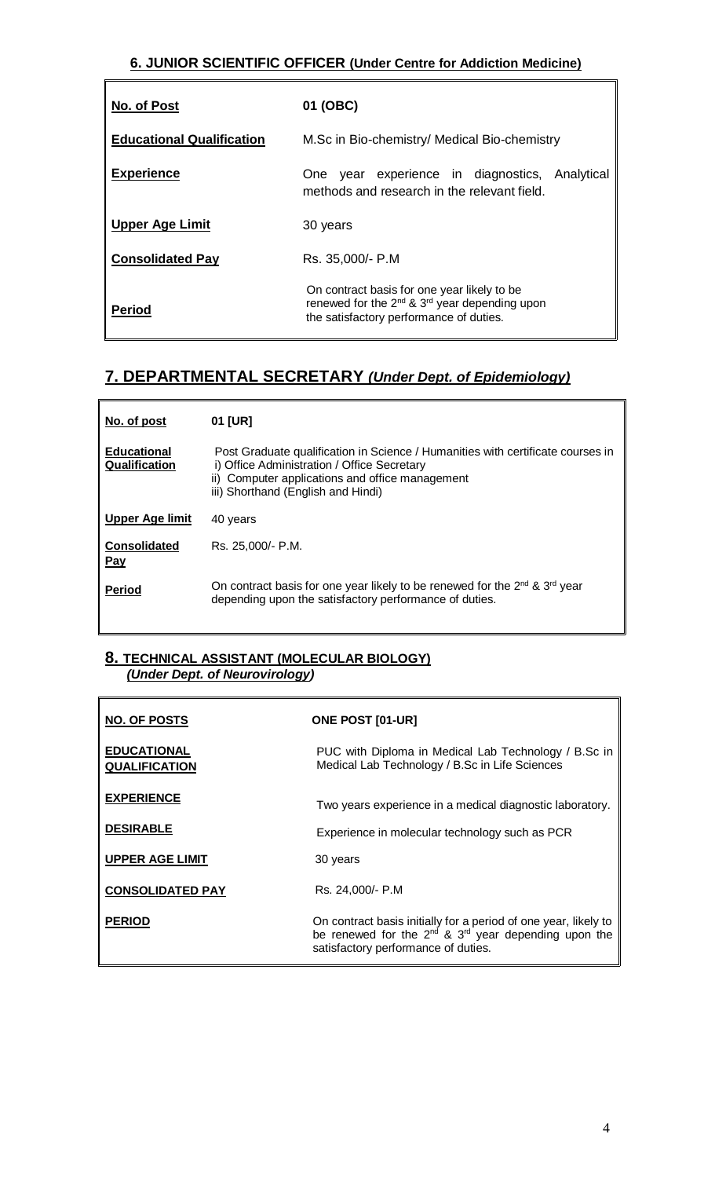## **6. JUNIOR SCIENTIFIC OFFICER (Under Centre for Addiction Medicine)**

| No. of Post                      | 01 (OBC)                                                                                                                                                        |
|----------------------------------|-----------------------------------------------------------------------------------------------------------------------------------------------------------------|
| <b>Educational Qualification</b> | M.Sc in Bio-chemistry/ Medical Bio-chemistry                                                                                                                    |
| <b>Experience</b>                | year experience in diagnostics,<br>Analytical<br>One<br>methods and research in the relevant field.                                                             |
| <b>Upper Age Limit</b>           | 30 years                                                                                                                                                        |
| <b>Consolidated Pay</b>          | Rs. 35,000/- P.M                                                                                                                                                |
| <b>Period</b>                    | On contract basis for one year likely to be<br>renewed for the 2 <sup>nd</sup> & 3 <sup>rd</sup> year depending upon<br>the satisfactory performance of duties. |

# **7. DEPARTMENTAL SECRETARY** *(Under Dept. of Epidemiology)*

| No. of post                         | 01 [UR]                                                                                                                                                                                                                 |
|-------------------------------------|-------------------------------------------------------------------------------------------------------------------------------------------------------------------------------------------------------------------------|
| <b>Educational</b><br>Qualification | Post Graduate qualification in Science / Humanities with certificate courses in<br>i) Office Administration / Office Secretary<br>ii) Computer applications and office management<br>iii) Shorthand (English and Hindi) |
| Upper Age limit                     | 40 years                                                                                                                                                                                                                |
| <b>Consolidated</b><br><u>Pay</u>   | Rs. 25.000/- P.M.                                                                                                                                                                                                       |
| <b>Period</b>                       | On contract basis for one year likely to be renewed for the $2^{nd}$ & $3^{rd}$ year<br>depending upon the satisfactory performance of duties.                                                                          |

### **8. TECHNICAL ASSISTANT (MOLECULAR BIOLOGY)**  *(Under Dept. of Neurovirology)*

| <b>NO. OF POSTS</b>                        | <b>ONE POST [01-UR]</b>                                                                                                                                                  |
|--------------------------------------------|--------------------------------------------------------------------------------------------------------------------------------------------------------------------------|
| <b>EDUCATIONAL</b><br><b>QUALIFICATION</b> | PUC with Diploma in Medical Lab Technology / B.Sc in<br>Medical Lab Technology / B.Sc in Life Sciences                                                                   |
| <b>EXPERIENCE</b>                          | Two years experience in a medical diagnostic laboratory.                                                                                                                 |
| <b>DESIRABLE</b>                           | Experience in molecular technology such as PCR                                                                                                                           |
| <b>UPPER AGE LIMIT</b>                     | 30 years                                                                                                                                                                 |
| <b>CONSOLIDATED PAY</b>                    | Rs. 24.000/- P.M                                                                                                                                                         |
| <b>PERIOD</b>                              | On contract basis initially for a period of one year, likely to<br>be renewed for the $2^{nd}$ & $3^{rd}$ year depending upon the<br>satisfactory performance of duties. |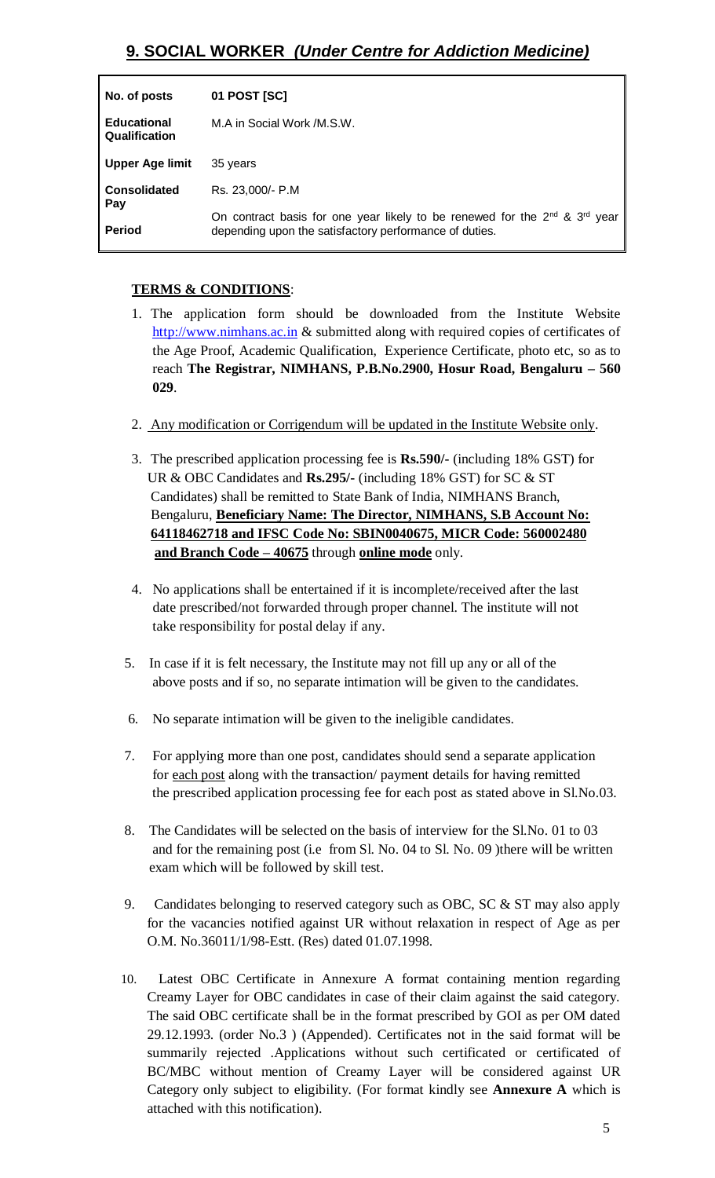| No. of posts                        | 01 POST [SC]                                                                                                                                                 |
|-------------------------------------|--------------------------------------------------------------------------------------------------------------------------------------------------------------|
| <b>Educational</b><br>Qualification | M.A in Social Work /M.S.W.                                                                                                                                   |
| <b>Upper Age limit</b>              | 35 years                                                                                                                                                     |
| <b>Consolidated</b>                 | Rs. 23,000/- P.M.                                                                                                                                            |
| Pay<br><b>Period</b>                | On contract basis for one year likely to be renewed for the 2 <sup>nd</sup> & 3 <sup>rd</sup> year<br>depending upon the satisfactory performance of duties. |

### **TERMS & CONDITIONS**:

- 1. The application form should be downloaded from the Institute Website [http://www.nimhans.ac.in](http://www.nimhans.ac.in/) & submitted along with required copies of certificates of the Age Proof, Academic Qualification, Experience Certificate, photo etc, so as to reach **The Registrar, NIMHANS, P.B.No.2900, Hosur Road, Bengaluru – 560 029**.
- 2. Any modification or Corrigendum will be updated in the Institute Website only.
- 3. The prescribed application processing fee is **Rs.590/-** (including 18% GST) for UR & OBC Candidates and **Rs.295/-** (including 18% GST) for SC & ST Candidates) shall be remitted to State Bank of India, NIMHANS Branch, Bengaluru, **Beneficiary Name: The Director, NIMHANS, S.B Account No: 64118462718 and IFSC Code No: SBIN0040675, MICR Code: 560002480 and Branch Code – 40675** through **online mode** only.
- 4. No applications shall be entertained if it is incomplete/received after the last date prescribed/not forwarded through proper channel. The institute will not take responsibility for postal delay if any.
- 5. In case if it is felt necessary, the Institute may not fill up any or all of the above posts and if so, no separate intimation will be given to the candidates.
- 6. No separate intimation will be given to the ineligible candidates.
- 7. For applying more than one post, candidates should send a separate application for each post along with the transaction/ payment details for having remitted the prescribed application processing fee for each post as stated above in Sl.No.03.
- 8. The Candidates will be selected on the basis of interview for the Sl.No. 01 to 03 and for the remaining post (i.e from Sl. No. 04 to Sl. No. 09 )there will be written exam which will be followed by skill test.
- 9. Candidates belonging to reserved category such as OBC, SC & ST may also apply for the vacancies notified against UR without relaxation in respect of Age as per O.M. No.36011/1/98-Estt. (Res) dated 01.07.1998.
- 10. Latest OBC Certificate in Annexure A format containing mention regarding Creamy Layer for OBC candidates in case of their claim against the said category. The said OBC certificate shall be in the format prescribed by GOI as per OM dated 29.12.1993. (order No.3 ) (Appended). Certificates not in the said format will be summarily rejected .Applications without such certificated or certificated of BC/MBC without mention of Creamy Layer will be considered against UR Category only subject to eligibility. (For format kindly see **Annexure A** which is attached with this notification).